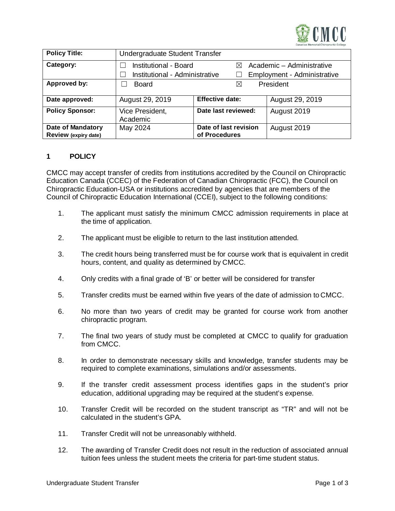

| <b>Policy Title:</b>                             | Undergraduate Student Transfer |                                        |                           |                             |  |
|--------------------------------------------------|--------------------------------|----------------------------------------|---------------------------|-----------------------------|--|
| Category:                                        | Institutional - Board          |                                        | Academic - Administrative |                             |  |
|                                                  | Institutional - Administrative |                                        |                           | Employment - Administrative |  |
| Approved by:                                     | Board                          | ⊠                                      |                           | President                   |  |
| Date approved:                                   | August 29, 2019                | <b>Effective date:</b>                 |                           | August 29, 2019             |  |
| <b>Policy Sponsor:</b>                           | Vice President,<br>Academic    | Date last reviewed:                    |                           | August 2019                 |  |
| <b>Date of Mandatory</b><br>Review (expiry date) | May 2024                       | Date of last revision<br>of Procedures |                           | August 2019                 |  |

## **1 POLICY**

CMCC may accept transfer of credits from institutions accredited by the Council on Chiropractic Education Canada (CCEC) of the Federation of Canadian Chiropractic (FCC), the Council on Chiropractic Education-USA or institutions accredited by agencies that are members of the Council of Chiropractic Education International (CCEI), subject to the following conditions:

- 1. The applicant must satisfy the minimum CMCC admission requirements in place at the time of application*.*
- 2. The applicant must be eligible to return to the last institution attended*.*
- 3. The credit hours being transferred must be for course work that is equivalent in credit hours, content, and quality as determined by CMCC*.*
- 4. Only credits with a final grade of 'B' or better will be considered for transfer
- 5. Transfer credits must be earned within five years of the date of admission to CMCC.
- 6. No more than two years of credit may be granted for course work from another chiropractic program*.*
- 7. The final two years of study must be completed at CMCC to qualify for graduation from CMCC.
- 8. In order to demonstrate necessary skills and knowledge, transfer students may be required to complete examinations, simulations and/or assessments.
- 9. If the transfer credit assessment process identifies gaps in the student's prior education, additional upgrading may be required at the student's expense.
- 10. Transfer Credit will be recorded on the student transcript as "TR" and will not be calculated in the student's GPA.
- 11. Transfer Credit will not be unreasonably withheld.
- 12. The awarding of Transfer Credit does not result in the reduction of associated annual tuition fees unless the student meets the criteria for part-time student status.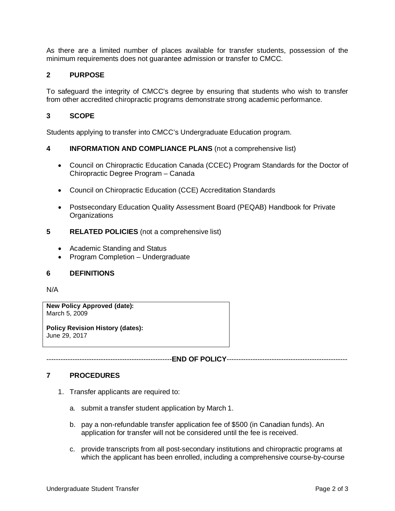As there are a limited number of places available for transfer students, possession of the minimum requirements does not guarantee admission or transfer to CMCC*.*

# **2 PURPOSE**

To safeguard the integrity of CMCC's degree by ensuring that students who wish to transfer from other accredited chiropractic programs demonstrate strong academic performance.

### **3 SCOPE**

Students applying to transfer into CMCC's Undergraduate Education program.

#### **4 INFORMATION AND COMPLIANCE PLANS** (not a comprehensive list)

- Council on Chiropractic Education Canada (CCEC) Program Standards for the Doctor of Chiropractic Degree Program – Canada
- Council on Chiropractic Education (CCE) Accreditation Standards
- Postsecondary Education Quality Assessment Board (PEQAB) Handbook for Private **Organizations**
- **5 RELATED POLICIES** (not a comprehensive list)
	- Academic Standing and Status
	- Program Completion Undergraduate

#### **6 DEFINITIONS**

N/A

**New Policy Approved (date):** March 5, 2009

**Policy Revision History (dates):** June 29, 2017

-----------------------------------------------------**END OF POLICY**---------------------------------------------------

#### **7 PROCEDURES**

- 1. Transfer applicants are required to:
	- a. submit a transfer student application by March 1.
	- b. pay a non-refundable transfer application fee of \$500 (in Canadian funds). An application for transfer will not be considered until the fee is received.
	- c. provide transcripts from all post-secondary institutions and chiropractic programs at which the applicant has been enrolled, including a comprehensive course-by-course